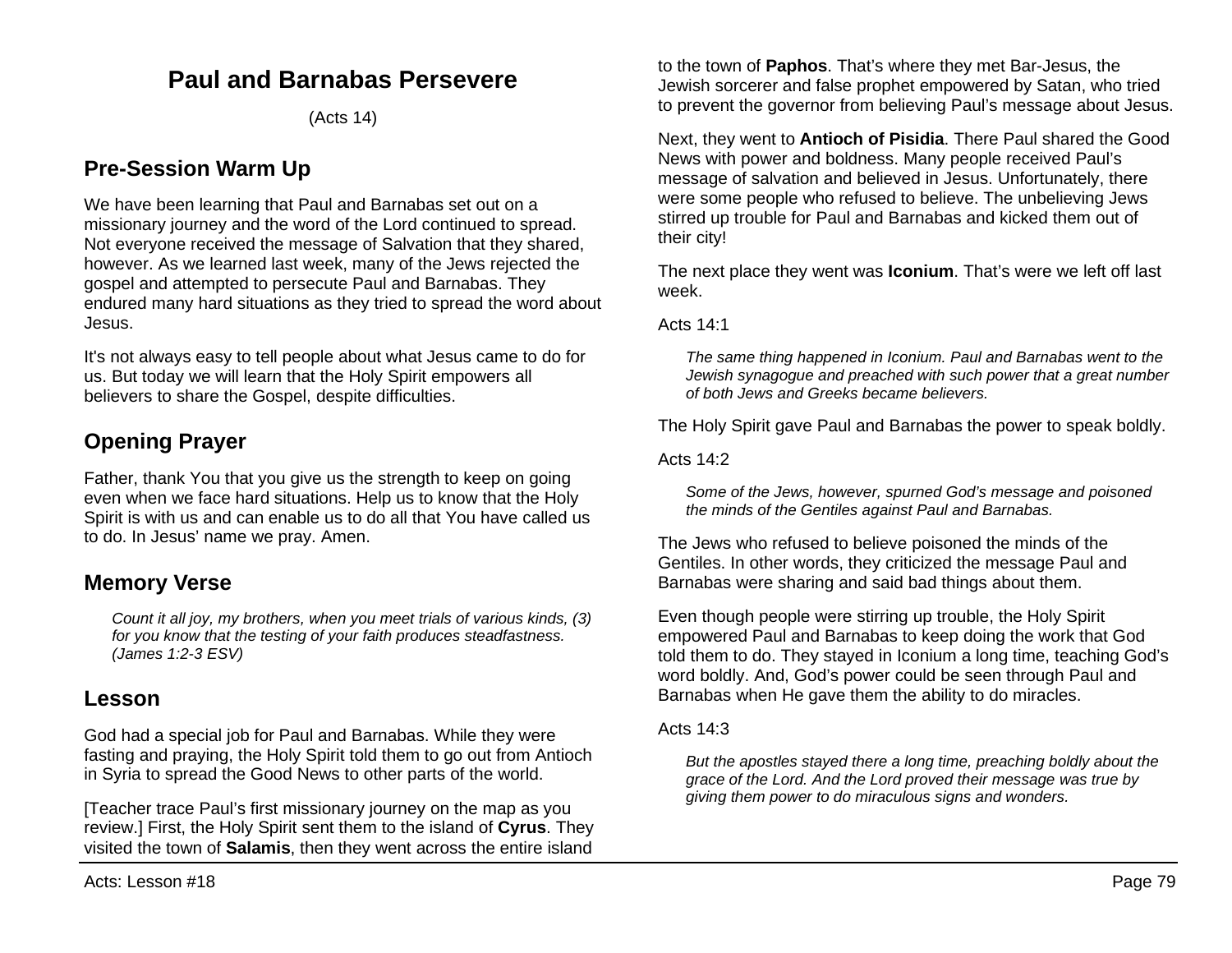# **Paul and Barnabas Persevere**

(Acts 14)

## **Pre-Session Warm Up**

We have been learning that Paul and Barnabas set out on a missionary journey and the word of the Lord continued to spread. Not everyone received the message of Salvation that they shared, however. As we learned last week, many of the Jews rejected the gospel and attempted to persecute Paul and Barnabas. They endured many hard situations as they tried to spread the word about Jesus.

It's not always easy to tell people about what Jesus came to do for us. But today we will learn that the Holy Spirit empowers all believers to share the Gospel, despite difficulties.

# **Opening Prayer**

Father, thank You that you give us the strength to keep on going even when we face hard situations. Help us to know that the Holy Spirit is with us and can enable us to do all that You have called us to do. In Jesus' name we pray. Amen.

## **Memory Verse**

*Count it all joy, my brothers, when you meet trials of various kinds, (3) for you know that the testing of your faith produces steadfastness. (James 1:2-3 ESV)*

## **Lesson**

God had a special job for Paul and Barnabas. While they were fasting and praying, the Holy Spirit told them to go out from Antioch in Syria to spread the Good News to other parts of the world.

[Teacher trace Paul's first missionary journey on the map as you review.] First, the Holy Spirit sent them to the island of **Cyrus**. They visited the town of **Salamis**, then they went across the entire island

to the town of **Paphos**. That's where they met Bar-Jesus, the Jewish sorcerer and false prophet empowered by Satan, who tried to prevent the governor from believing Paul's message about Jesus.

Next, they went to **Antioch of Pisidia**. There Paul shared the Good News with power and boldness. Many people received Paul's message of salvation and believed in Jesus. Unfortunately, there were some people who refused to believe. The unbelieving Jews stirred up trouble for Paul and Barnabas and kicked them out of their city!

The next place they went was **Iconium**. That's were we left off last week.

Acts 14:1

*The same thing happened in Iconium. Paul and Barnabas went to the Jewish synagogue and preached with such power that a great number of both Jews and Greeks became believers.*

The Holy Spirit gave Paul and Barnabas the power to speak boldly.

Acts 14:2

*Some of the Jews, however, spurned God's message and poisoned the minds of the Gentiles against Paul and Barnabas.*

The Jews who refused to believe poisoned the minds of the Gentiles. In other words, they criticized the message Paul and Barnabas were sharing and said bad things about them.

Even though people were stirring up trouble, the Holy Spirit empowered Paul and Barnabas to keep doing the work that God told them to do. They stayed in Iconium a long time, teaching God's word boldly. And, God's power could be seen through Paul and Barnabas when He gave them the ability to do miracles.

Acts 14:3

*But the apostles stayed there a long time, preaching boldly about the grace of the Lord. And the Lord proved their message was true by giving them power to do miraculous signs and wonders.*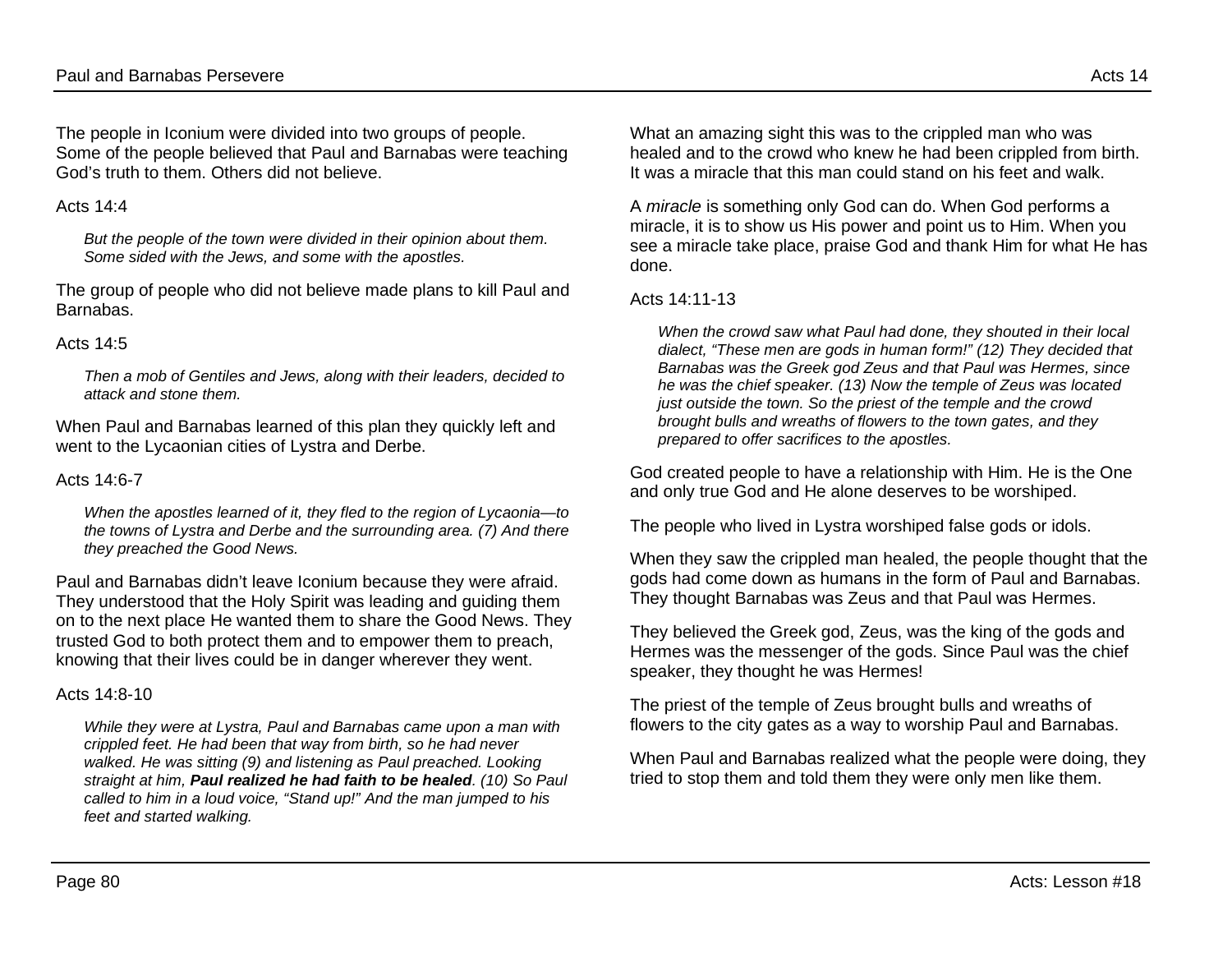The people in Iconium were divided into two groups of people. Some of the people believed that Paul and Barnabas were teaching God's truth to them. Others did not believe.

#### Acts  $14.4$

*But the people of the town were divided in their opinion about them. Some sided with the Jews, and some with the apostles.*

The group of people who did not believe made plans to kill Paul and Barnabas.

#### Acts  $14.5$

*Then a mob of Gentiles and Jews, along with their leaders, decided to attack and stone them.*

When Paul and Barnabas learned of this plan they quickly left and went to the Lycaonian cities of Lystra and Derbe.

#### Acts 14:6-7

*When the apostles learned of it, they fled to the region of Lycaonia—to the towns of Lystra and Derbe and the surrounding area. (7) And there they preached the Good News.*

Paul and Barnabas didn't leave Iconium because they were afraid. They understood that the Holy Spirit was leading and guiding them on to the next place He wanted them to share the Good News. They trusted God to both protect them and to empower them to preach, knowing that their lives could be in danger wherever they went.

#### Acts 14:8-10

*While they were at Lystra, Paul and Barnabas came upon a man with crippled feet. He had been that way from birth, so he had never*  walked. He was sitting (9) and listening as Paul preached. Looking *straight at him, Paul realized he had faith to be healed. (10) So Paul called to him in a loud voice, "Stand up!" And the man jumped to his feet and started walking.*

What an amazing sight this was to the crippled man who was healed and to the crowd who knew he had been crippled from birth. It was a miracle that this man could stand on his feet and walk.

A *miracle* is something only God can do. When God performs a miracle, it is to show us His power and point us to Him. When you see a miracle take place, praise God and thank Him for what He has done.

#### Acts 14:11-13

*When the crowd saw what Paul had done, they shouted in their local dialect, "These men are gods in human form!" (12) They decided that Barnabas was the Greek god Zeus and that Paul was Hermes, since he was the chief speaker. (13) Now the temple of Zeus was located just outside the town. So the priest of the temple and the crowd brought bulls and wreaths of flowers to the town gates, and they prepared to offer sacrifices to the apostles.*

God created people to have a relationship with Him. He is the One and only true God and He alone deserves to be worshiped.

The people who lived in Lystra worshiped false gods or idols.

When they saw the crippled man healed, the people thought that the gods had come down as humans in the form of Paul and Barnabas. They thought Barnabas was Zeus and that Paul was Hermes.

They believed the Greek god, Zeus, was the king of the gods and Hermes was the messenger of the gods. Since Paul was the chief speaker, they thought he was Hermes!

The priest of the temple of Zeus brought bulls and wreaths of flowers to the city gates as a way to worship Paul and Barnabas.

When Paul and Barnabas realized what the people were doing, they tried to stop them and told them they were only men like them.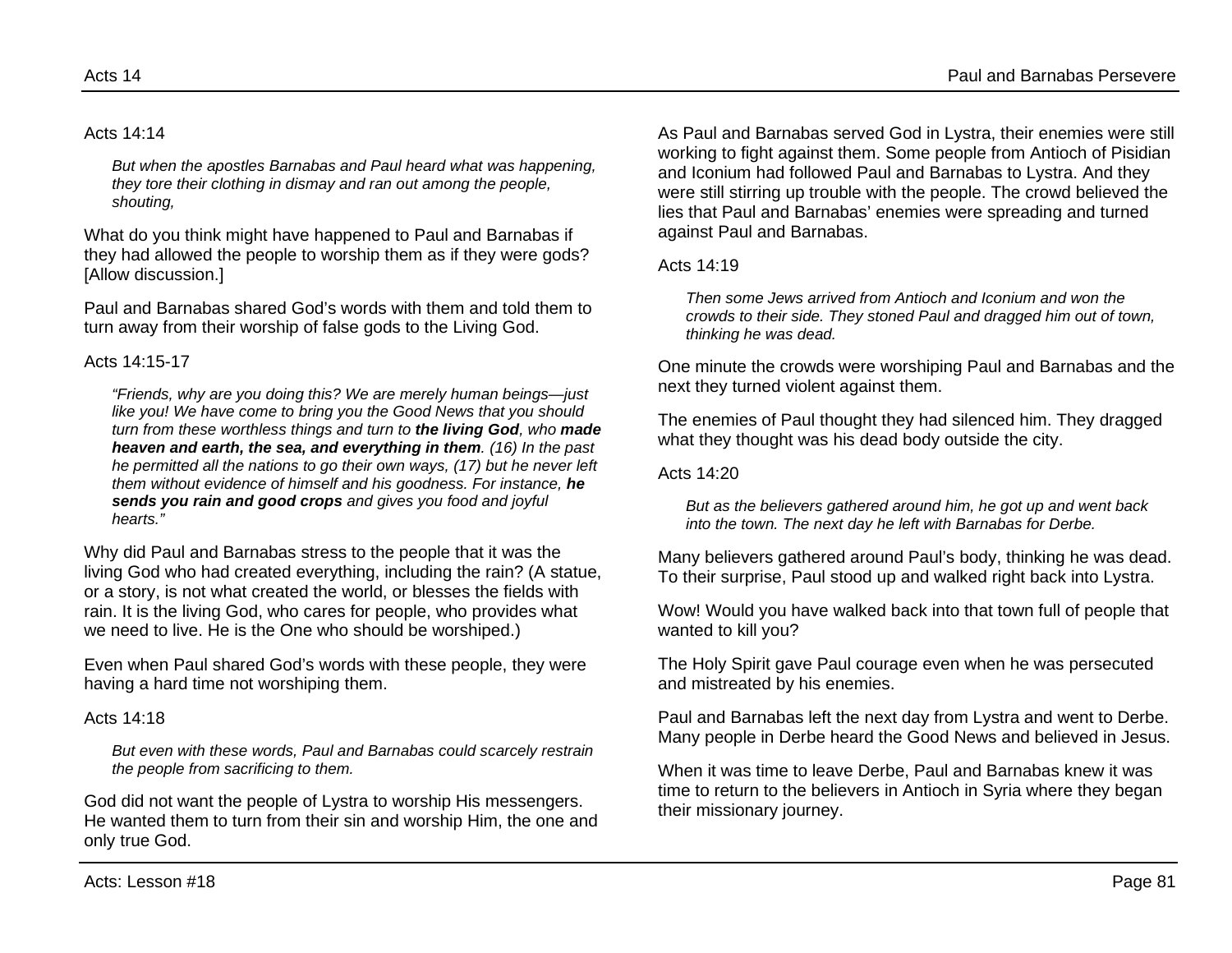#### Acts 14:14

*But when the apostles Barnabas and Paul heard what was happening, they tore their clothing in dismay and ran out among the people, shouting,*

What do you think might have happened to Paul and Barnabas if they had allowed the people to worship them as if they were gods? [Allow discussion.]

Paul and Barnabas shared God's words with them and told them to turn away from their worship of false gods to the Living God.

#### Acts 14:15-17

*"Friends, why are you doing this? We are merely human beings—just like you! We have come to bring you the Good News that you should turn from these worthless things and turn to the living God, who made heaven and earth, the sea, and everything in them. (16) In the past he permitted all the nations to go their own ways, (17) but he never left them without evidence of himself and his goodness. For instance, he sends you rain and good crops and gives you food and joyful hearts."*

Why did Paul and Barnabas stress to the people that it was the living God who had created everything, including the rain? (A statue, or a story, is not what created the world, or blesses the fields with rain. It is the living God, who cares for people, who provides what we need to live. He is the One who should be worshiped.)

Even when Paul shared God's words with these people, they were having a hard time not worshiping them.

#### Acts 14:18

*But even with these words, Paul and Barnabas could scarcely restrain the people from sacrificing to them.*

God did not want the people of Lystra to worship His messengers. He wanted them to turn from their sin and worship Him, the one and only true God.

As Paul and Barnabas served God in Lystra, their enemies were still working to fight against them. Some people from Antioch of Pisidian and Iconium had followed Paul and Barnabas to Lystra. And they were still stirring up trouble with the people. The crowd believed the lies that Paul and Barnabas' enemies were spreading and turned against Paul and Barnabas.

#### Acts 14:19

*Then some Jews arrived from Antioch and Iconium and won the crowds to their side. They stoned Paul and dragged him out of town, thinking he was dead.*

One minute the crowds were worshiping Paul and Barnabas and the next they turned violent against them.

The enemies of Paul thought they had silenced him. They dragged what they thought was his dead body outside the city.

Acts 14:20

*But as the believers gathered around him, he got up and went back into the town. The next day he left with Barnabas for Derbe.*

Many believers gathered around Paul's body, thinking he was dead. To their surprise, Paul stood up and walked right back into Lystra.

Wow! Would you have walked back into that town full of people that wanted to kill you?

The Holy Spirit gave Paul courage even when he was persecuted and mistreated by his enemies.

Paul and Barnabas left the next day from Lystra and went to Derbe. Many people in Derbe heard the Good News and believed in Jesus.

When it was time to leave Derbe, Paul and Barnabas knew it was time to return to the believers in Antioch in Syria where they began their missionary journey.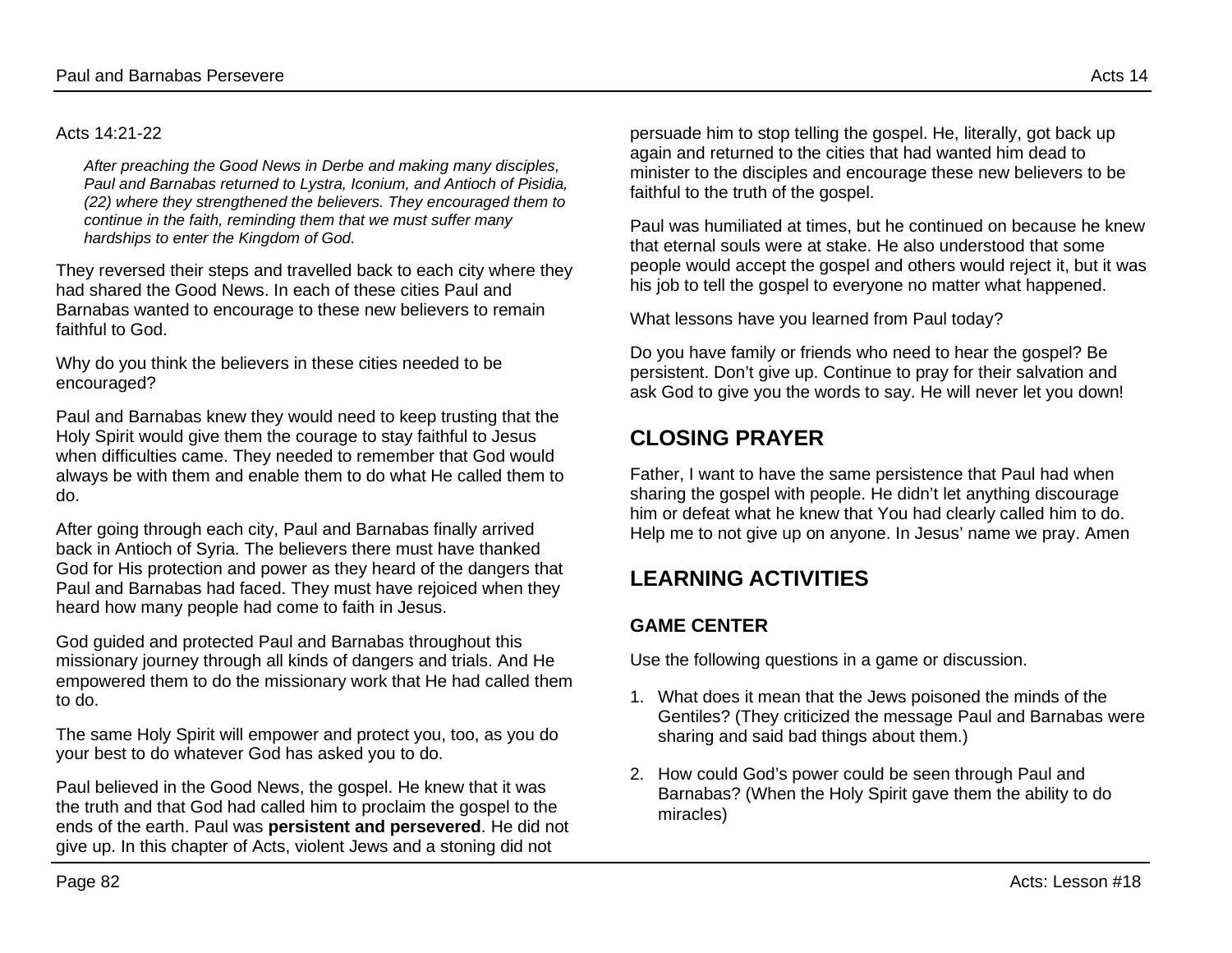#### Acts 14:21-22

*After preaching the Good News in Derbe and making many disciples, Paul and Barnabas returned to Lystra, Iconium, and Antioch of Pisidia, (22) where they strengthened the believers. They encouraged them to continue in the faith, reminding them that we must suffer many hardships to enter the Kingdom of God.*

They reversed their steps and travelled back to each city where they had shared the Good News. In each of these cities Paul and Barnabas wanted to encourage to these new believers to remain faithful to God.

Why do you think the believers in these cities needed to be encouraged?

Paul and Barnabas knew they would need to keep trusting that the Holy Spirit would give them the courage to stay faithful to Jesus when difficulties came. They needed to remember that God would always be with them and enable them to do what He called them to do.

After going through each city, Paul and Barnabas finally arrived back in Antioch of Syria. The believers there must have thanked God for His protection and power as they heard of the dangers that Paul and Barnabas had faced. They must have rejoiced when they heard how many people had come to faith in Jesus.

God guided and protected Paul and Barnabas throughout this missionary journey through all kinds of dangers and trials. And He empowered them to do the missionary work that He had called them to do.

The same Holy Spirit will empower and protect you, too, as you do your best to do whatever God has asked you to do.

Paul believed in the Good News, the gospel. He knew that it was the truth and that God had called him to proclaim the gospel to the ends of the earth. Paul was **persistent and persevered**. He did not give up. In this chapter of Acts, violent Jews and a stoning did not

persuade him to stop telling the gospel. He, literally, got back up again and returned to the cities that had wanted him dead to minister to the disciples and encourage these new believers to be faithful to the truth of the gospel.

Paul was humiliated at times, but he continued on because he knew that eternal souls were at stake. He also understood that some people would accept the gospel and others would reject it, but it was his job to tell the gospel to everyone no matter what happened.

What lessons have you learned from Paul today?

Do you have family or friends who need to hear the gospel? Be persistent. Don't give up. Continue to pray for their salvation and ask God to give you the words to say. He will never let you down!

## **CLOSING PRAYER**

Father, I want to have the same persistence that Paul had when sharing the gospel with people. He didn't let anything discourage him or defeat what he knew that You had clearly called him to do. Help me to not give up on anyone. In Jesus' name we pray. Amen

# **LEARNING ACTIVITIES**

### **GAME CENTER**

Use the following questions in a game or discussion.

- 1. What does it mean that the Jews poisoned the minds of the Gentiles? (They criticized the message Paul and Barnabas were sharing and said bad things about them.)
- 2. How could God's power could be seen through Paul and Barnabas? (When the Holy Spirit gave them the ability to do miracles)